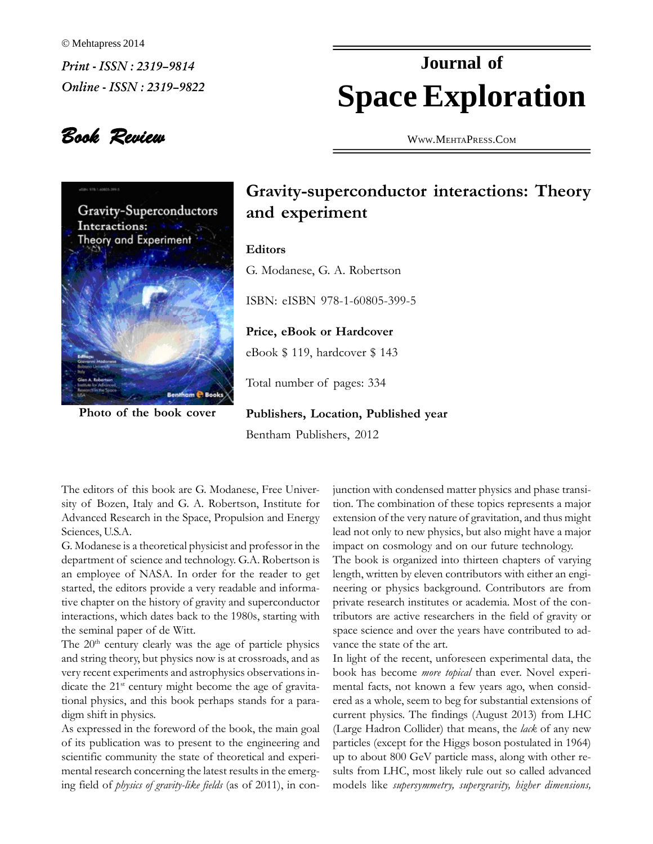Mehtapress 2014  $Print - ISSN : 2319-9814$  $Online - ISSN : 2319 - 9822$ 

## **Space Exploration Journal of**

Book Review



**of the book cover**

WWW.M[EHTA](http://WWW.MEHTAPRESS.COM)PRESS.COM

## **interactions:** Theory<br>and experiment

## **Editors**

**itors**<br>Modanese, G. A. Robertson ISBN:

eISBN 978-1-60805-399-5

 **eBook or Hardcover** eBook \$ 119, hardcover \$ <sup>143</sup> eBook  $$119$ , hardcover  $$143$ 

Total number of pages: 334 **Publishers,**

**Location, Published year** Bentham Publishers, <sup>2012</sup>

The editors of this book are G. Modanese. Free Univer- jun editors of this book are G. Modanese, Free Univer-<br>of Bozen, Italy and G. A. Robertson, Institute for tion sity of Bozen, Italy and G. A. Robertson, Institute for tion.<br>Advanced Research in the Space, Propulsion and Energy exter Advanced Research<br>Sciences, U.S.A.

Sciences, U.S.A.<br>
G. Modanese is a theoretical physicist and professor in the impartment of science and technology. G.A. Robertson is The department of science and technology. G.A. Robertson is Th<br>an employee of NASA. In order for the reader to get len an employee of NASA. In order for the reader to get<br>started, the editors provide a very readable and informathe chapter of the editors provide a very readable and informa-<br>tive chapter on the history of gravity and superconductor priv the chapter on the history of gravity and superconductor private<br>interactions, which dates back to the 1980s, starting with tributo interactions, which dates back to<br>the seminal paper of de Witt. eminal pape<br>20<sup>th</sup> century

the seminal paper of de Witt.<br>
The 20<sup>th</sup> century clearly was the age of particle physics vanos<br>
and string theory, but physics now is at crossroads, and as In li and string theory, but physics now is at crossroads, and as  $\frac{1}{2}$  Invery recent experiments and astrophysics observations in $t_{\text{max}}$  and  $t_{\text{max}}$  are projected to the activity observations included the 21<sup>st</sup> century might become the age of gravitadicate the  $21^{st}$  century might become the age of gravita-<br>tional physics, and this book perhaps stands for a parational physics, and this book perhaps stands for a paradigm shift in physics.

digm shift in physics.<br>
As expressed in the foreword of the book, the main goal (Large<br>
of its publication was to present to the engineering and particle scientific community the state of theoretical and experi-<br>scientific community the state of theoretical and experiscientific community the state of theoretical and experiing field of *physics* of *gravity-like fields* (as of 2011), in con-

junction with condensed matter physics and phase transi-<br>tion. The combination of these topics represents a major tion. The combination of these topics represents a major extension of the very nature of gravitation, and thus might extension of the very nature of gravitation, and thus might<br>lead not only to new physics, but also might have a major Interactive case of guidance of guidances, and the ingentional lead not only to new physics, but also might have a major impact on cosmology and on our future technology. impact on cosmology and on our future technology.

The book is organized into thirteen chapters of varying<br>length, written by eleven contributors with either an engilength, written by eleven contributors with either an engiprivate research institutes or academia. Most of the con-<br>private research institutes or academia. Most of the contributors are active researchers in the field of gravity or<br>tributors are active researchers in the field of gravity or from the space science and over the years have contributed to adspace science and over the years have contributed to advance the state of the art.

France the state of the art.<br>In light of the recent, unforeseen experimental data, the<br>book has become *more topical* than ever. Novel experibook has become more topical than ever. Novel experimental facts, not known a few years ago, when considered as a whole, seem to beg for substantial extensions of current physics. The findings (August 2013) from LHC External physics. The findings (August 2013) from LHC<br>(Large Hadron Collider) that means, the *lack* of any new (Large Hadron Collider) that means, the *lack* of any new particles (except for the Higgs boson postulated in 1964) particles (except for the Higgs boson postulated in 1964) up to about 800 GeV particle mass, along with other remodels like *supersymmetry, supergravity, higher dimensions*,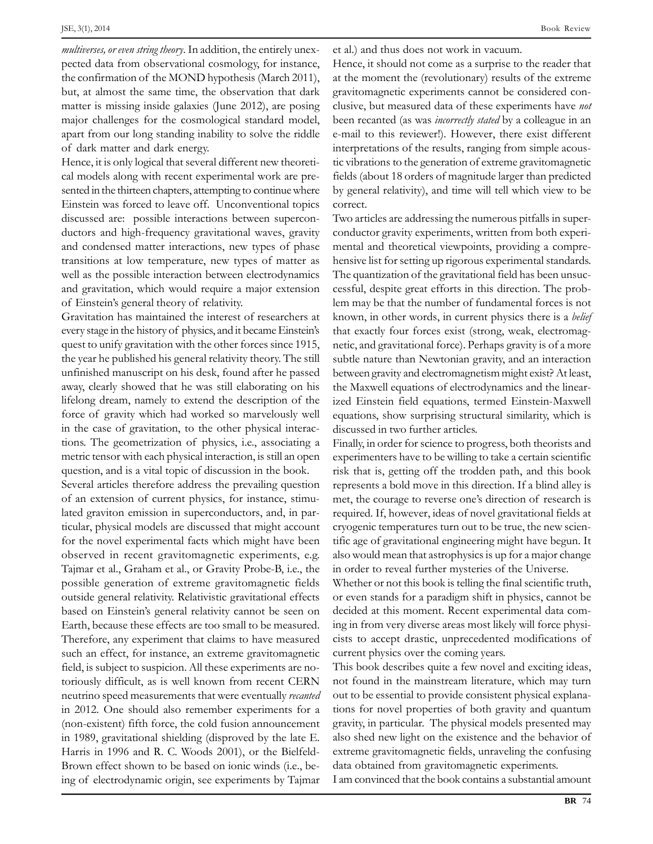JSE, 3(1), 2014<br>*multiverses, or even string theory*. In addition, the entirely unex- et a multiverses, or even string theory. In addition, the entirely unex-<br>pected data from observational cosmology, for instance. pected data from observational cosmology, for instance, the confirmation of the MOND hypothesis (March 2011), but, at almost the same time, the observation that dark gravit<br>matter is missing inside galaxies (June 2012), are posing clusiv matter is missing inside galaxies (June 2012), are posing  $\overline{c}$  major challenges for the cosmological standard model, b major challenges for the cosmological standard model, apart from our long standing inability and dark energy. is the cost of several test of the several different new theoreti-<br>into Hence, it is only logical that several different new theoreti-

models along with recent experimental work are pre-<br>cal models along with recent experimental work are precal models along with recent experimental work are pre-Einstein the thirteen chapters, attempting to continue where by g<br>Einstein was forced to leave off. Unconventional topics corr Einstein was forced to leave off. Unconventional topics condiscussed are: possible interactions between supercondiscussed are: possible interactions between superconductors and high-frequency gravitational waves, gravity cond<br>and condensed matter interactions, new types of phase ment and condensed matter interactions, new types of phase men<br>transitions at low temperature, new types of matter as hens transitions at low temperature, new types of matter as well as the possible interaction between electrodynamics The quand pravitation, which would require a major extension cessful of Einstein's general theory of relativity.<br>The Einstein's general theory of relativity.

of Einstein's general theory of relativity. Iem<br>
Gravitation has maintained the interest of researchers at know<br>
every stage in the history of physics, and it became Einstein's that examples the maintaining are interested to continuous in the every stage in the history of physics, and it became Einstein's the quest to unify pravitation with the other forces since 1915, quest to unify gravitation with the other forces since 1915, the year he published his general relativity theory. The still and you are parametering generationally interpretational constants<br>unfinished manuscript on his desk, found after he passed between away, clearly showed that he was still elaborating on his the away, clearly showed that he was still elaborating on his the N<br>lifelong dream, namely to extend the description of the sized force of *gravity* which had worked so marvelously well in the case of gravity which had worked so marvelously well<br>in the case of gravitation, to the other physical interacthe case of gravitation, to the other physical interactions.<br>
The geometrization of physics, i.e., associating a Final metric tensor symmatric tensor with each physics, i.e., associating a Finally,<br>metric tensor with each physical interaction, is still an open experiment  $\frac{1}{2}$  and  $\frac{1}{2}$  of  $\frac{1}{2}$  and  $\frac{1}{2}$  and  $\frac{1}{2}$  is a vital topic of discussion in the book. question, and is a vital topic of discussion in the book.

Several articles therefore address the prevailing question<br>of an extension of current physics, for instance, stimuof an extension of current physics, for instance, stimulated praviton emission in superconductors, and, in parlated graviton emission in superconductors, and, in particular, physical models are discussed that might account for the novel experimental facts which might account cryoge.<br>For the novel experimental facts which might have been tific age for the novel experimental facts which might have been tips<br>observed in recent gravitomagnetic experiments, e.g.  $\vec{a}$ observed in recent gravitomagnetic experiments, e.g. Tajmar et al., Graham et al., or Gravity Probe-B, i.e., the in o<br>possible generation of extreme gravitomagnetic fields Who possible generation of extreme gravitomagnetic fields Who<br>outside general relativity. Relativistic gravitational effects or e based on Einstein's general relativity. Relativistic gravitational effects or ever<br>based on Einstein's general relativity cannot be seen on decided Earth Because these effects are too small to be measured. Therefore, therefore, therefore, therefore, therefore, therefore, therefore, therefore, therefore, therefore, therefore, the measured. Earth, because these effects are too small to be measured. Therefore, any experiment that claims to have measured cists<br>such an effect, for instance, an extreme gravitomagnetic curre such an effect, for instance, an extreme gravitomagnetic c<br>field, is subject to suspicion. All these experiments are notoriously difficult, as is well known from recent CERN not found in toriously difficult, as is well known from recent CERN not f<br>neutrino speed measurements that were eventually *recanted* out to is a constant, and the measurements that were eventually *recanted* out to a constant and the constant and the constant of a constant and also remember experiments for a constant (non-existent) fifth force, the cold fusion announcement grand (non-existent) fifth force, the cold fusion announcement gr<br>in 1989, gravitational shielding (disproved by the late E. in 1989, gravitational shielding (disproved by the late E. Harris in 1996 and R. C. Woods 2001), or the Bielfeld-Example in the case of electrodynamic origin, see experiments by Tajmar I and the electrodynamic origin, see experiments by Tajmar I and

Book Review<br>et al.) and thus does not work in vacuum.

et al.) and thus does not work in vacuum.<br>Hence, it should not come as a surprise to the reader that<br>at the moment the (revolutionary) results of the extreme gravitomagnetic experiments cannot be considered con-<br>gravitomagnetic experiments cannot be considered congravitomagnetic experiments cannot be considered conbetween *be* clusive, but measured data of these experiments have *not* been recanted (as was *incorrectly stated* by a colleague in an been recanted (as was *incorrectly stated* by a colleague in an e-mail to this reviewer!). However, there exist different e-mail to this reviewer!). However, there exist different<br>interpretations of the results, ranging from simple acousthe distribution of the results, ranging from simple acous-<br>tic vibrations to the generation of extreme gravitomagnetic fields (about 18 orders of magnitude larger than predicted by general relativity), and time will tell which view to be by general relativity), and time will tell which view to be by general relativity), and time will tell which view to be correct.  $\frac{a}{b}$  are  $\frac{a}{b}$  and  $\frac{a}{b}$  are  $\frac{a}{c}$  and  $\frac{a}{c}$  are addressing the numerous pitfalls in super-

Two articles are addressing the numerous pitfalls in super-<br>conductor gravity experiments, written from both expericonductor gravity experiments, written from both experimental and theoretical viewpoints, providing a comprehensive list for setting up rigorous experimental standards. The quantization of the gravitational field has been unsuc-Fire-quaramented of the guaranteering term and forces in the prob-<br>lem may be that the number of fundamental forces is not known, in other words, in current physics there is a *belief*<br>known, in other words, in current physics there is a *belief* known, in other words, in current physics there is a *belief* that exactly four forces exist (strong, weak, electromagthat exactly four forces exist (strong, weak, electromagnetic, and gravitational force). Perhaps gravity is of a more<br>subtle nature than Newtonian gravity, and an interaction between gravity and electromagnetism might exist? At least, between gravity and electromagnetism might exist? At least, the Maxwell equations of electrodynamics and the linear-<br>ized Einstein field equations, termed Einstein-Maxwell exted Einstein field equations, termed Einstein-Maxwell<br>equations, show surprising structural similarity, which is equations, show surprising structuraliscussed in two further articles.

Finally, in order for science to progress, both theorists and<br>Experimenters have to be willing to take a certain scientific risk that is, getting off the trodden path, and this book represents a bold move in this direction. If a blind alley is met and consider the courage of the courage to reverse one's direction. If a blind alley is<br>met, the courage to reverse one's direction of research is represent a set also can also a metallic substitution of research is<br>met, the courage to reverse one's direction of research is<br>required. If, however, ideas of novel pravitational fields at crystal crystal crystal crystal crystal crystal crystal crystal crystal crystal crystal crystal crystal crystal crystal crystal crystal crystal crystal crystal crystal crystal crystal crystal crystal crystal crystal crysta the gravitational engineering might have begun. It<br>tific age of gravitational engineering might have begun. It Figure the pentalet that street is even, the term street<br>tific age of gravitational engineering might have begun. It<br>also would mean that astrophysics is up for a major change also would mean that astrophysics is up for a major change<br>in order to reveal further mysteries of the Universe. in order to reveal further mysteries of the Universe.

Whether or not this book is telling the final scientific truth, decided at this moment. Recent experimental data com-If it is also are a parally context in projects, called 20<br>decided at this moment. Recent experimental data com-<br>ing in from very diverse areas most likely will force physiing in from very diverse areas most likely will force physicists to accept drastic, unprecedented modern current physics over the coming years. be the describes over the coming years.<br>This book describes quite a few novel and exciting ideas,

found in the mainstream literature, which may turn not found in the mainstream literature, which may turn<br>out to be essential to provide consistent physical explanathe countries are the minimized in the minimized explana-<br>out to be essential to provide consistent physical explana-<br>tions for novel properties of both gravity and quantum Franchistance of the properties of both gravity and quantum<br>gravity, in particular. The physical models presented may gravity, in particular. The physical models presented may<br>also shed new light on the existence and the behavior of also shed new light on the existence and the behavior of extreme gravitomagnetic fields, unraveling the confusing extreme gravitomagnetic fields, unraveling the confus<br>data obtained from gravitomagnetic experiments. data obtained from gravitomagnetic experiments.<br>I am convinced that the book contains a substantial amount